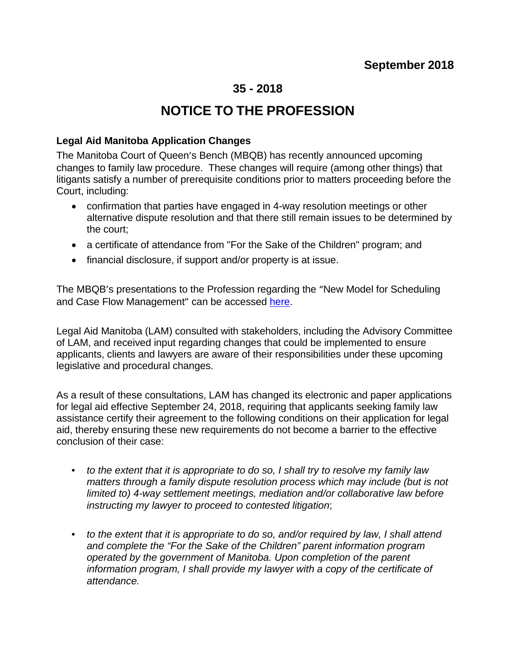## **35 - 2018**

## **NOTICE TO THE PROFESSION**

## **Legal Aid Manitoba Application Changes**

The Manitoba Court of Queen's Bench (MBQB) has recently announced upcoming changes to family law procedure. These changes will require (among other things) that litigants satisfy a number of prerequisite conditions prior to matters proceeding before the Court, including:

- confirmation that parties have engaged in 4-way resolution meetings or other alternative dispute resolution and that there still remain issues to be determined by the court;
- a certificate of attendance from "For the Sake of the Children" program; and
- financial disclosure, if support and/or property is at issue.

The MBQB's presentations to the Profession regarding the "New Model for Scheduling and Case Flow Management" can be accessed [here.](https://cba-mb.ca/Sections/Family-Law/Resources/Webcasts/New-Model-for-Scheduling-and-Case-Flow)

Legal Aid Manitoba (LAM) consulted with stakeholders, including the Advisory Committee of LAM, and received input regarding changes that could be implemented to ensure applicants, clients and lawyers are aware of their responsibilities under these upcoming legislative and procedural changes.

As a result of these consultations, LAM has changed its electronic and paper applications for legal aid effective September 24, 2018, requiring that applicants seeking family law assistance certify their agreement to the following conditions on their application for legal aid, thereby ensuring these new requirements do not become a barrier to the effective conclusion of their case:

- *to the extent that it is appropriate to do so, I shall try to resolve my family law matters through a family dispute resolution process which may include (but is not limited to) 4-way settlement meetings, mediation and/or collaborative law before instructing my lawyer to proceed to contested litigation*;
- *to the extent that it is appropriate to do so, and/or required by law, I shall attend and complete the "For the Sake of the Children" parent information program operated by the government of Manitoba. Upon completion of the parent information program, I shall provide my lawyer with a copy of the certificate of attendance.*